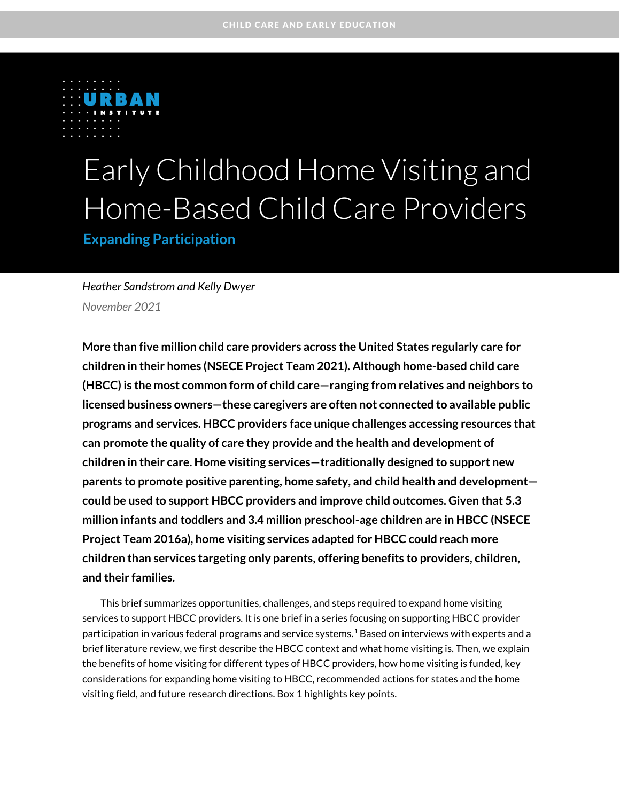

# Early Childhood Home Visiting and Home-Based Child Care Providers

**Expanding Participation**

*Heather Sandstrom and Kelly Dwyer November 2021*

**More than five million child care providers across the United States regularly care for children in their homes (NSECE Project Team 2021). Although home-based child care (HBCC) is the most common form of child care—ranging from relatives and neighbors to licensed business owners—these caregivers are often not connected to available public programs and services. HBCC providers face unique challenges accessing resources that can promote the quality of care they provide and the health and development of children in their care. Home visiting services—traditionally designed to support new parents to promote positive parenting, home safety, and child health and development could be used to support HBCC providers and improve child outcomes. Given that 5.3 million infants and toddlers and 3.4 million preschool-age children are in HBCC (NSECE Project Team 2016a), home visiting services adapted for HBCC could reach more children than services targeting only parents, offering benefits to providers, children, and their families.** 

This brief summarizes opportunities, challenges, and steps required to expand home visiting services to support HBCC providers. It is one brief in a series focusing on supporting HBCC provider participation in various federal programs and service systems. $^{\rm 1}$  $^{\rm 1}$  $^{\rm 1}$  Based on interviews with experts and a brief literature review, we first describe the HBCC context and what home visiting is. Then, we explain the benefits of home visiting for different types of HBCC providers, how home visiting is funded, key considerations for expanding home visiting to HBCC, recommended actions for states and the home visiting field, and future research directions. Box 1 highlights key points.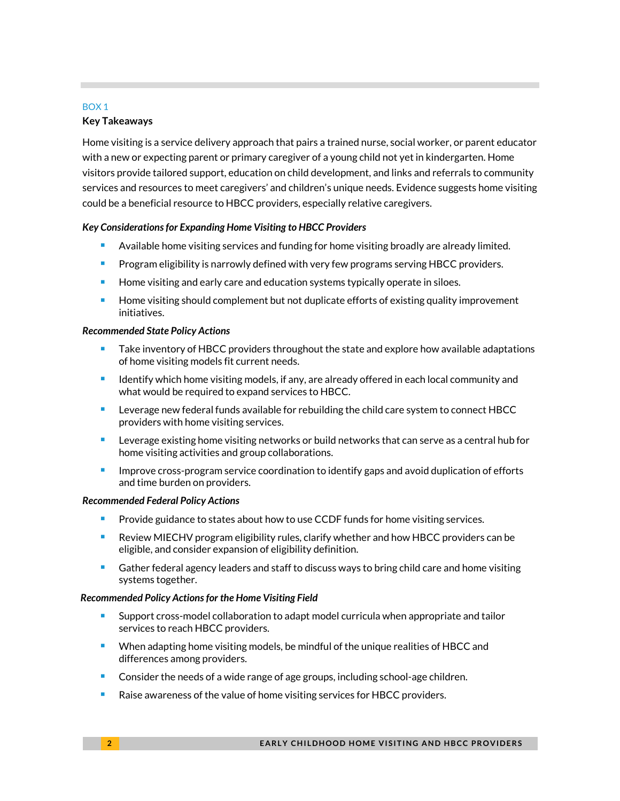#### BOX 1

### **Key Takeaways**

Home visiting is a service delivery approach that pairs a trained nurse, social worker, or parent educator with a new or expecting parent or primary caregiver of a young child not yet in kindergarten. Home visitors provide tailored support, education on child development, and links and referrals to community services and resources to meet caregivers' and children's unique needs. Evidence suggests home visiting could be a beneficial resource to HBCC providers, especially relative caregivers.

### *Key Considerations for Expanding Home Visiting to HBCC Providers*

- Available home visiting services and funding for home visiting broadly are already limited.
- Program eligibility is narrowly defined with very few programs serving HBCC providers.
- Home visiting and early care and education systems typically operate in siloes.
- **Home visiting should complement but not duplicate efforts of existing quality improvement** initiatives.

#### *Recommended State Policy Actions*

- **The Take inventory of HBCC providers throughout the state and explore how available adaptations** of home visiting models fit current needs.
- Identify which home visiting models, if any, are already offered in each local community and what would be required to expand services to HBCC.
- **Leverage new federal funds available for rebuilding the child care system to connect HBCC** providers with home visiting services.
- Leverage existing home visiting networks or build networks that can serve as a central hub for home visiting activities and group collaborations.
- $\blacksquare$  Improve cross-program service coordination to identify gaps and avoid duplication of efforts and time burden on providers.

#### *Recommended Federal Policy Actions*

- **Provide guidance to states about how to use CCDF funds for home visiting services.**
- Review MIECHV program eligibility rules, clarify whether and how HBCC providers can be eligible, and consider expansion of eligibility definition.
- **Gather federal agency leaders and staff to discuss ways to bring child care and home visiting** systems together.

#### *Recommended Policy Actions for the Home Visiting Field*

- Support cross-model collaboration to adapt model curricula when appropriate and tailor services to reach HBCC providers.
- **When adapting home visiting models, be mindful of the unique realities of HBCC and** differences among providers.
- **Consider the needs of a wide range of age groups, including school-age children.**
- Raise awareness of the value of home visiting services for HBCC providers.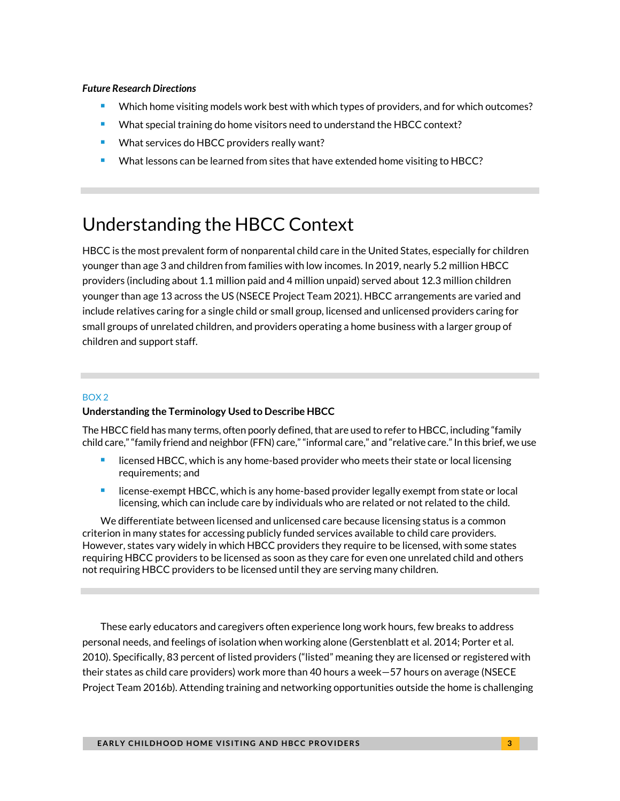#### *Future Research Directions*

- Which home visiting models work best with which types of providers, and for which outcomes?
- What special training do home visitors need to understand the HBCC context?
- **What services do HBCC providers really want?**
- **What lessons can be learned from sites that have extended home visiting to HBCC?**

### Understanding the HBCC Context

HBCC is the most prevalent form of nonparental child care in the United States, especially for children younger than age 3 and children from families with low incomes. In 2019, nearly 5.2 million HBCC providers (including about 1.1 million paid and 4 million unpaid) served about 12.3 million children younger than age 13 across the US (NSECE Project Team 2021). HBCC arrangements are varied and include relatives caring for a single child or small group, licensed and unlicensed providers caring for small groups of unrelated children, and providers operating a home business with a larger group of children and support staff.

#### BOX 2

#### **Understanding the Terminology Used to Describe HBCC**

The HBCC field has many terms, often poorly defined, that are used to refer to HBCC, including "family child care," "family friend and neighbor (FFN) care," "informal care," and "relative care." In this brief, we use

- licensed HBCC, which is any home-based provider who meets their state or local licensing requirements; and
- license-exempt HBCC, which is any home-based provider legally exempt from state or local licensing, which can include care by individuals who are related or not related to the child.

We differentiate between licensed and unlicensed care because licensing status is a common criterion in many states for accessing publicly funded services available to child care providers. However, states vary widely in which HBCC providers they require to be licensed, with some states requiring HBCC providers to be licensed as soon as they care for even one unrelated child and others not requiring HBCC providers to be licensed until they are serving many children.

These early educators and caregivers often experience long work hours, few breaks to address personal needs, and feelings of isolation when working alone (Gerstenblatt et al. 2014; Porter et al. 2010). Specifically, 83 percent of listed providers ("listed" meaning they are licensed or registered with their states as child care providers) work more than 40 hours a week—57 hours on average (NSECE Project Team 2016b). Attending training and networking opportunities outside the home is challenging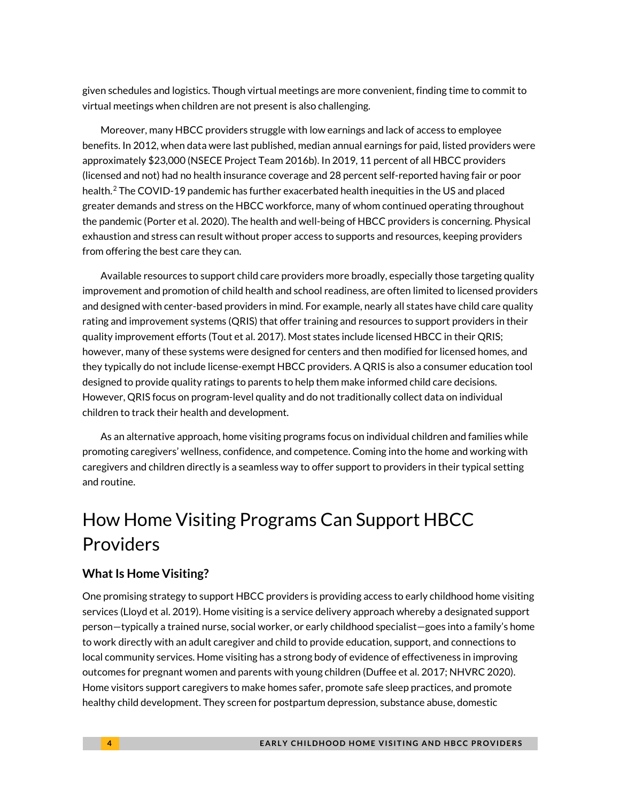given schedules and logistics. Though virtual meetings are more convenient, finding time to commit to virtual meetings when children are not present is also challenging.

Moreover, many HBCC providers struggle with low earnings and lack of access to employee benefits. In 2012, when data were last published, median annual earnings for paid, listed providers were approximately \$23,000 (NSECE Project Team 2016b). In 2019, 11 percent of all HBCC providers (licensed and not) had no health insurance coverage and 28 percent self-reported having fair or poor health.<sup>[2](#page-14-1)</sup> The COVID-19 pandemic has further exacerbated health inequities in the US and placed greater demands and stress on the HBCC workforce, many of whom continued operating throughout the pandemic (Porter et al. 2020). The health and well-being of HBCC providers is concerning. Physical exhaustion and stress can result without proper access to supports and resources, keeping providers from offering the best care they can.

Available resources to support child care providers more broadly, especially those targeting quality improvement and promotion of child health and school readiness, are often limited to licensed providers and designed with center-based providers in mind. For example, nearly all states have child care quality rating and improvement systems (QRIS) that offer training and resources to support providers in their quality improvement efforts (Tout et al. 2017). Most states include licensed HBCC in their QRIS; however, many of these systems were designed for centers and then modified for licensed homes, and they typically do not include license-exempt HBCC providers. A QRIS is also a consumer education tool designed to provide quality ratings to parents to help them make informed child care decisions. However, QRIS focus on program-level quality and do not traditionally collect data on individual children to track their health and development.

As an alternative approach, home visiting programs focus on individual children and families while promoting caregivers' wellness, confidence, and competence. Coming into the home and working with caregivers and children directly is a seamless way to offer support to providers in their typical setting and routine.

# How Home Visiting Programs Can Support HBCC Providers

### **What Is Home Visiting?**

One promising strategy to support HBCC providers is providing access to early childhood home visiting services (Lloyd et al. 2019). Home visiting is a service delivery approach whereby a designated support person—typically a trained nurse, social worker, or early childhood specialist—goes into a family's home to work directly with an adult caregiver and child to provide education, support, and connections to local community services. Home visiting has a strong body of evidence of effectiveness in improving outcomes for pregnant women and parents with young children (Duffee et al. 2017; NHVRC 2020). Home visitors support caregivers to make homes safer, promote safe sleep practices, and promote healthy child development. They screen for postpartum depression, substance abuse, domestic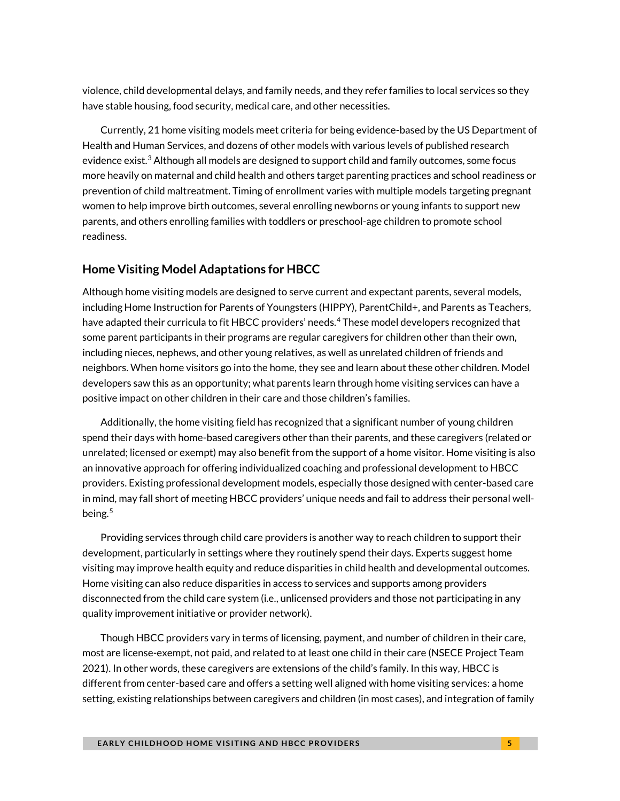violence, child developmental delays, and family needs, and they refer families to local services so they have stable housing, food security, medical care, and other necessities.

Currently, 21 home visiting models meet criteria for being evidence-based by the US Department of Health and Human Services, and dozens of other models with various levels of published research evidence exist. $3$  Although all models are designed to support child and family outcomes, some focus more heavily on maternal and child health and others target parenting practices and school readiness or prevention of child maltreatment. Timing of enrollment varies with multiple models targeting pregnant women to help improve birth outcomes, several enrolling newborns or young infants to support new parents, and others enrolling families with toddlers or preschool-age children to promote school readiness.

### **Home Visiting Model Adaptations for HBCC**

Although home visiting models are designed to serve current and expectant parents, several models, including Home Instruction for Parents of Youngsters (HIPPY), ParentChild+, and Parents as Teachers, have adapted their curricula to fit HBCC providers' needs. [4](#page-14-3) These model developers recognized that some parent participants in their programs are regular caregivers for children other than their own, including nieces, nephews, and other young relatives, as well as unrelated children of friends and neighbors. When home visitors go into the home, they see and learn about these other children. Model developers saw this as an opportunity; what parents learn through home visiting services can have a positive impact on other children in their care and those children's families.

Additionally, the home visiting field has recognized that a significant number of young children spend their days with home-based caregivers other than their parents, and these caregivers (related or unrelated; licensed or exempt) may also benefit from the support of a home visitor. Home visiting is also an innovative approach for offering individualized coaching and professional development to HBCC providers. Existing professional development models, especially those designed with center-based care in mind, may fall short of meeting HBCC providers' unique needs and fail to address their personal well-being.<sup>[5](#page-14-4)</sup>

Providing services through child care providers is another way to reach children to support their development, particularly in settings where they routinely spend their days. Experts suggest home visiting may improve health equity and reduce disparities in child health and developmental outcomes. Home visiting can also reduce disparities in access to services and supports among providers disconnected from the child care system (i.e., unlicensed providers and those not participating in any quality improvement initiative or provider network).

Though HBCC providers vary in terms of licensing, payment, and number of children in their care, most are license-exempt, not paid, and related to at least one child in their care (NSECE Project Team 2021). In other words, these caregivers are extensions of the child's family. In this way, HBCC is different from center-based care and offers a setting well aligned with home visiting services: a home setting, existing relationships between caregivers and children (in most cases), and integration of family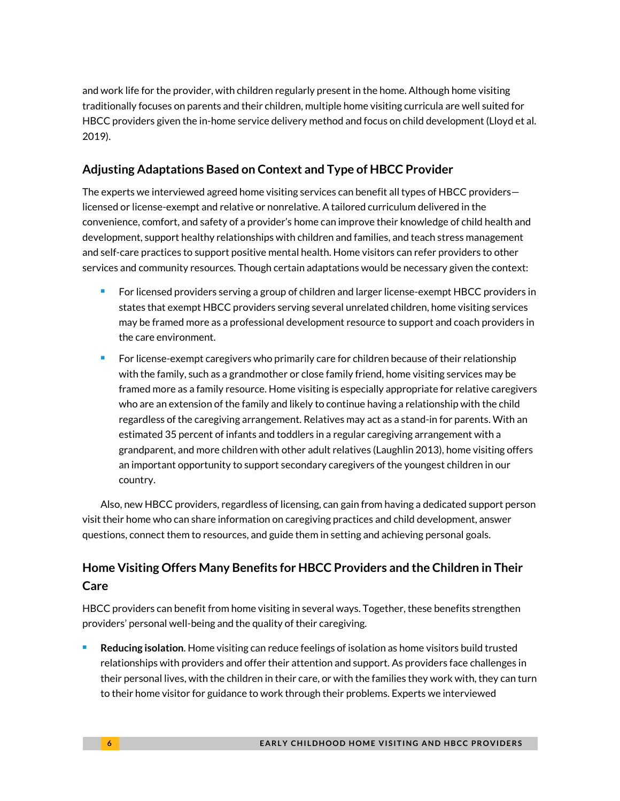and work life for the provider, with children regularly present in the home. Although home visiting traditionally focuses on parents and their children, multiple home visiting curricula are well suited for HBCC providers given the in-home service delivery method and focus on child development (Lloyd et al. 2019).

### **Adjusting Adaptations Based on Context and Type of HBCC Provider**

The experts we interviewed agreed home visiting services can benefit all types of HBCC providers licensed or license-exempt and relative or nonrelative. A tailored curriculum delivered in the convenience, comfort, and safety of a provider's home can improve their knowledge of child health and development, support healthy relationships with children and families, and teach stress management and self-care practices to support positive mental health. Home visitors can refer providers to other services and community resources. Though certain adaptations would be necessary given the context:

- **For licensed providers serving a group of children and larger license-exempt HBCC providers in** states that exempt HBCC providers serving several unrelated children, home visiting services may be framed more as a professional development resource to support and coach providers in the care environment.
- For license-exempt caregivers who primarily care for children because of their relationship with the family, such as a grandmother or close family friend, home visiting services may be framed more as a family resource. Home visiting is especially appropriate for relative caregivers who are an extension of the family and likely to continue having a relationship with the child regardless of the caregiving arrangement. Relatives may act as a stand-in for parents. With an estimated 35 percent of infants and toddlers in a regular caregiving arrangement with a grandparent, and more children with other adult relatives (Laughlin 2013), home visiting offers an important opportunity to support secondary caregivers of the youngest children in our country.

Also, new HBCC providers, regardless of licensing, can gain from having a dedicated support person visit their home who can share information on caregiving practices and child development, answer questions, connect them to resources, and guide them in setting and achieving personal goals.

### **Home Visiting Offers Many Benefits for HBCC Providers and the Children in Their Care**

HBCC providers can benefit from home visiting in several ways. Together, these benefits strengthen providers' personal well-being and the quality of their caregiving.

 **Reducing isolation**. Home visiting can reduce feelings of isolation as home visitors build trusted relationships with providers and offer their attention and support. As providers face challenges in their personal lives, with the children in their care, or with the families they work with, they can turn to their home visitor for guidance to work through their problems. Experts we interviewed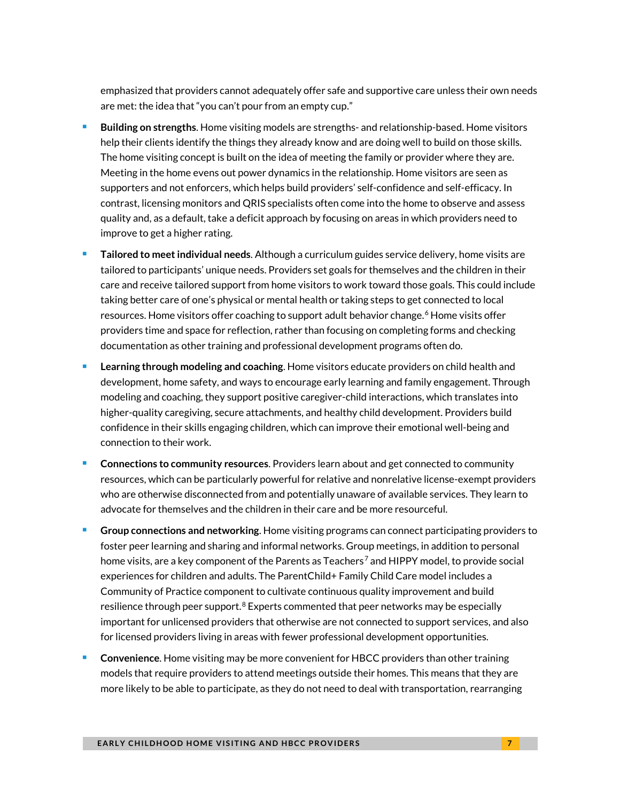emphasized that providers cannot adequately offer safe and supportive care unless their own needs are met: the idea that "you can't pour from an empty cup."

- **Building on strengths**. Home visiting models are strengths- and relationship-based. Home visitors help their clients identify the things they already know and are doing well to build on those skills. The home visiting concept is built on the idea of meeting the family or provider where they are. Meeting in the home evens out power dynamics in the relationship. Home visitors are seen as supporters and not enforcers, which helps build providers' self-confidence and self-efficacy. In contrast, licensing monitors and QRIS specialists often come into the home to observe and assess quality and, as a default, take a deficit approach by focusing on areas in which providers need to improve to get a higher rating.
- **Tailored to meetindividual needs**. Although a curriculum guides service delivery, home visits are tailored to participants' unique needs. Providers set goals for themselves and the children in their care and receive tailored support from home visitors to work toward those goals. This could include taking better care of one's physical or mental health or taking steps to get connected to local resources. Home visitors offer coaching to support adult behavior change.<sup>[6](#page-14-5)</sup> Home visits offer providers time and space for reflection, rather than focusing on completing forms and checking documentation as other training and professional development programs often do.
- **Learning through modeling and coaching**. Home visitors educate providers on child health and development, home safety, and ways to encourage early learning and family engagement. Through modeling and coaching, they support positive caregiver-child interactions, which translates into higher-quality caregiving, secure attachments, and healthy child development. Providers build confidence in their skills engaging children, which can improve their emotional well-being and connection to their work.
- **Connections to community resources**. Providers learn about and get connected to community resources, which can be particularly powerful for relative and nonrelative license-exempt providers who are otherwise disconnected from and potentially unaware of available services. They learn to advocate for themselves and the children in their care and be more resourceful.
- **Group connections and networking**. Home visiting programs can connect participating providers to foster peer learning and sharing and informal networks. Group meetings, in addition to personal home visits, are a key component of the Parents as Teachers<sup>[7](#page-14-6)</sup> and HIPPY model, to provide social experiences for children and adults. The ParentChild+ Family Child Care model includes a Community of Practice component to cultivate continuous quality improvement and build resilience through peer support. $8$  Experts commented that peer networks may be especially important for unlicensed providers that otherwise are not connected to support services, and also for licensed providers living in areas with fewer professional development opportunities.
- **Convenience**. Home visiting may be more convenient for HBCC providers than other training models that require providers to attend meetings outside their homes. This means that they are more likely to be able to participate, as they do not need to deal with transportation, rearranging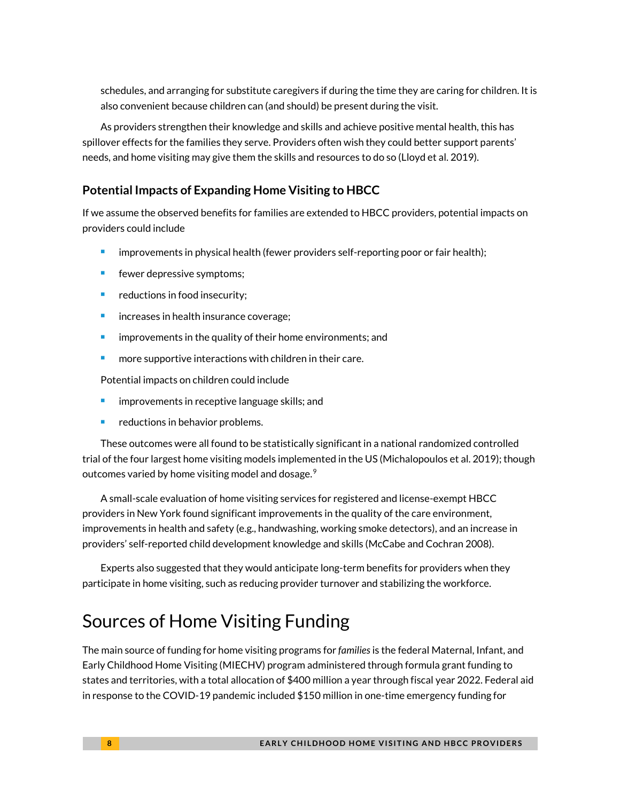schedules, and arranging for substitute caregivers if during the time they are caring for children. It is also convenient because children can (and should) be present during the visit.

As providers strengthen their knowledge and skills and achieve positive mental health, this has spillover effects for the families they serve. Providers often wish they could better support parents' needs, and home visiting may give them the skills and resources to do so (Lloyd et al. 2019).

### **Potential Impacts of Expanding Home Visiting to HBCC**

If we assume the observed benefits for families are extended to HBCC providers, potential impacts on providers could include

- improvements in physical health (fewer providers self-reporting poor or fair health);
- **Fig. 5** fewer depressive symptoms;
- **•** reductions in food insecurity;
- increases in health insurance coverage;
- **If** improvements in the quality of their home environments; and
- **n** more supportive interactions with children in their care.

Potential impacts on children could include

- **Fall improvements in receptive language skills; and**
- **•** reductions in behavior problems.

These outcomes were all found to be statistically significant in a national randomized controlled trial of the four largest home visiting models implemented in the US (Michalopoulos et al. 2019); though outcomes varied by home visiting model and dosage. $^9$  $^9$ 

A small-scale evaluation of home visiting services for registered and license-exempt HBCC providers in New York found significant improvements in the quality of the care environment, improvements in health and safety (e.g., handwashing, working smoke detectors), and an increase in providers' self-reported child development knowledge and skills (McCabe and Cochran 2008).

Experts also suggested that they would anticipate long-term benefits for providers when they participate in home visiting, such as reducing provider turnover and stabilizing the workforce.

### Sources of Home Visiting Funding

The main source of funding for home visiting programs for *families*is the federal Maternal, Infant, and Early Childhood Home Visiting (MIECHV) program administered through formula grant funding to states and territories, with a total allocation of \$400 million a year through fiscal year 2022. Federal aid in response to the COVID-19 pandemic included \$150 million in one-time emergency funding for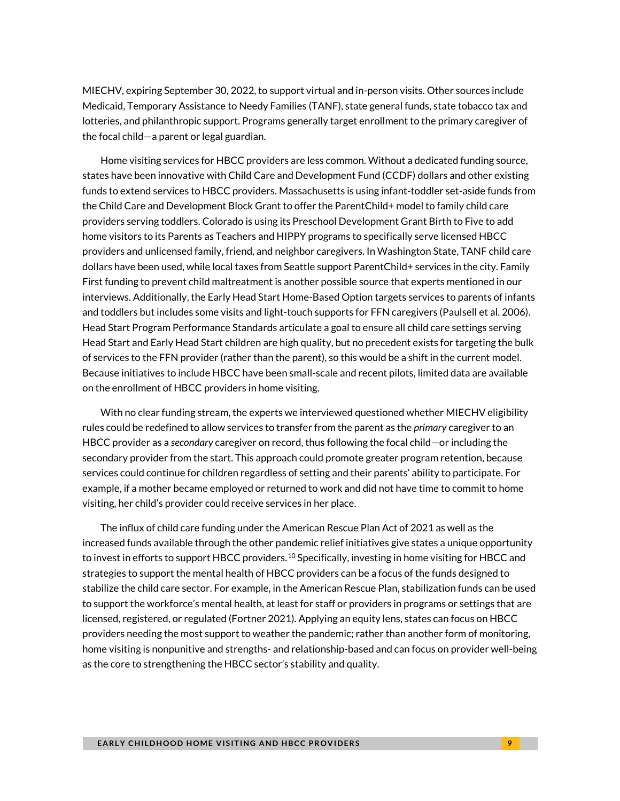MIECHV, expiring September 30, 2022, to support virtual and in-person visits. Other sources include Medicaid, Temporary Assistance to Needy Families (TANF), state general funds, state tobacco tax and lotteries, and philanthropic support. Programs generally target enrollment to the primary caregiver of the focal child—a parent or legal guardian.

Home visiting services for HBCC providers are less common. Without a dedicated funding source, states have been innovative with Child Care and Development Fund (CCDF) dollars and other existing funds to extend services to HBCC providers. Massachusetts is using infant-toddler set-aside funds from the Child Care and Development Block Grant to offer the ParentChild+ model to family child care providers serving toddlers. Colorado is using its Preschool Development Grant Birth to Five to add home visitors to its Parents as Teachers and HIPPY programs to specifically serve licensed HBCC providers and unlicensed family, friend, and neighbor caregivers. In Washington State, TANF child care dollars have been used, while local taxes from Seattle support ParentChild+ services in the city. Family First funding to prevent child maltreatment is another possible source that experts mentioned in our interviews. Additionally, the Early Head Start Home-Based Option targets services to parents of infants and toddlers but includes some visits and light-touch supports for FFN caregivers (Paulsell et al. 2006). Head Start Program Performance Standards articulate a goal to ensure all child care settings serving Head Start and Early Head Start children are high quality, but no precedent exists for targeting the bulk of services to the FFN provider (rather than the parent), so this would be a shift in the current model. Because initiatives to include HBCC have been small-scale and recent pilots, limited data are available on the enrollment of HBCC providers in home visiting.

With no clear funding stream, the experts we interviewed questioned whether MIECHV eligibility rules could be redefined to allow services to transfer from the parent as the *primary* caregiver to an HBCC provider as a *secondary* caregiver on record, thus following the focal child—or including the secondary provider from the start. This approach could promote greater program retention, because services could continue for children regardless of setting and their parents' ability to participate. For example, if a mother became employed or returned to work and did not have time to commit to home visiting, her child's provider could receive services in her place.

The influx of child care funding under the American Rescue Plan Act of 2021 as well as the increased funds available through the other pandemic relief initiatives give states a unique opportunity to invest in efforts to support HBCC providers.<sup>[10](#page-14-9)</sup> Specifically, investing in home visiting for HBCC and strategies to support the mental health of HBCC providers can be a focus of the funds designed to stabilize the child care sector. For example, in the American Rescue Plan, stabilization funds can be used to support the workforce's mental health, at least for staff or providers in programs or settings that are licensed, registered, or regulated (Fortner 2021). Applying an equity lens, states can focus on HBCC providers needing the most support to weather the pandemic; rather than another form of monitoring, home visiting is nonpunitive and strengths- and relationship-based and can focus on provider well-being as the core to strengthening the HBCC sector's stability and quality.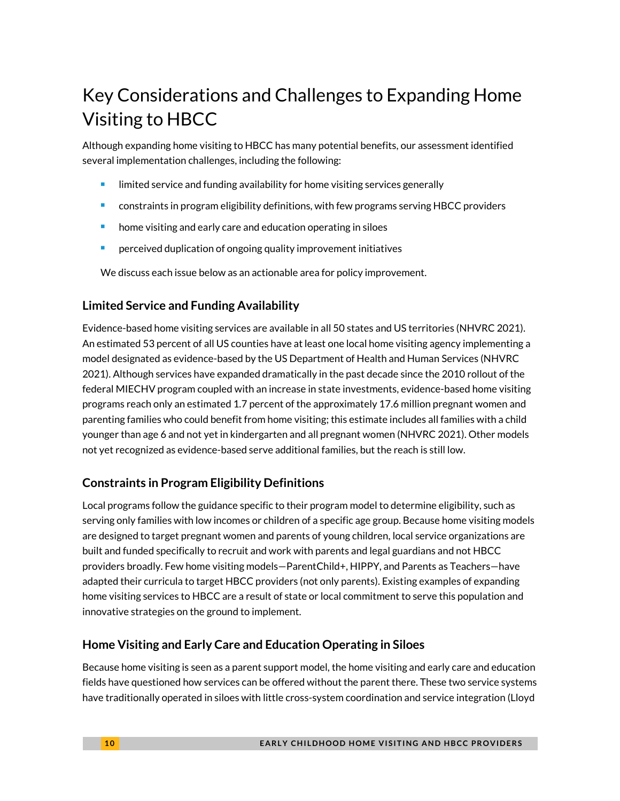# Key Considerations and Challenges to Expanding Home Visiting to HBCC

Although expanding home visiting to HBCC has many potential benefits, our assessment identified several implementation challenges, including the following:

- **EXEDENT I** limited service and funding availability for home visiting services generally
- constraints in program eligibility definitions, with few programs serving HBCC providers
- home visiting and early care and education operating in siloes
- perceived duplication of ongoing quality improvement initiatives

We discuss each issue below as an actionable area for policy improvement.

### **Limited Service and Funding Availability**

Evidence-based home visiting services are available in all 50 states and US territories (NHVRC 2021). An estimated 53 percent of all US counties have at least one local home visiting agency implementing a model designated as evidence-based by the US Department of Health and Human Services (NHVRC 2021). Although services have expanded dramatically in the past decade since the 2010 rollout of the federal MIECHV program coupled with an increase in state investments, evidence-based home visiting programs reach only an estimated 1.7 percent of the approximately 17.6 million pregnant women and parenting families who could benefit from home visiting; this estimate includes all families with a child younger than age 6 and not yet in kindergarten and all pregnant women (NHVRC 2021). Other models not yet recognized as evidence-based serve additional families, but the reach is still low.

### **Constraints in Program Eligibility Definitions**

Local programs follow the guidance specific to their program model to determine eligibility, such as serving only families with low incomes or children of a specific age group. Because home visiting models are designed to target pregnant women and parents of young children, local service organizations are built and funded specifically to recruit and work with parents and legal guardians and not HBCC providers broadly. Few home visiting models—ParentChild+, HIPPY, and Parents as Teachers—have adapted their curricula to target HBCC providers (not only parents). Existing examples of expanding home visiting services to HBCC are a result of state or local commitment to serve this population and innovative strategies on the ground to implement.

### **Home Visiting and Early Care and Education Operating in Siloes**

Because home visiting is seen as a parent support model, the home visiting and early care and education fields have questioned how services can be offered without the parent there. These two service systems have traditionally operated in siloes with little cross-system coordination and service integration (Lloyd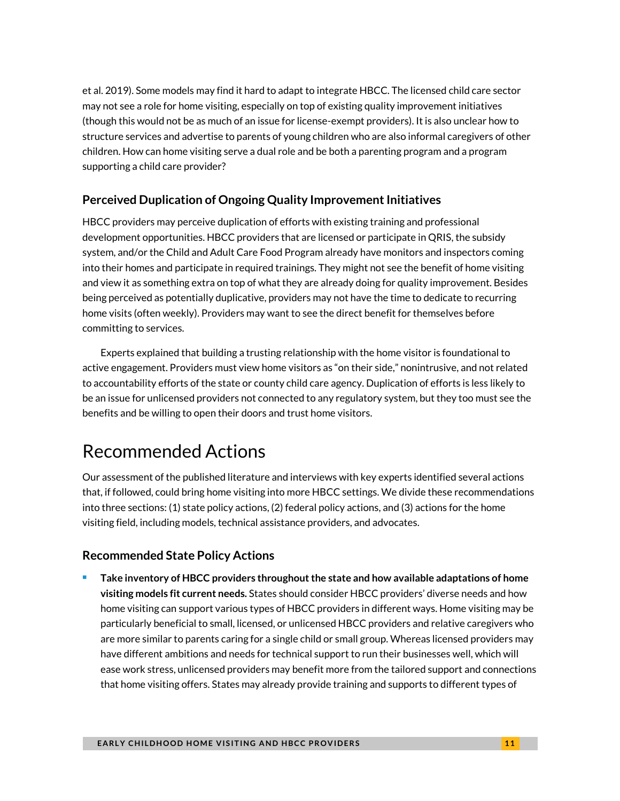et al. 2019). Some models may find it hard to adapt to integrate HBCC. The licensed child care sector may not see a role for home visiting, especially on top of existing quality improvement initiatives (though this would not be as much of an issue for license-exempt providers). It is also unclear how to structure services and advertise to parents of young children who are also informal caregivers of other children. How can home visiting serve a dual role and be both a parenting program and a program supporting a child care provider?

### **Perceived Duplication of Ongoing Quality Improvement Initiatives**

HBCC providers may perceive duplication of efforts with existing training and professional development opportunities. HBCC providers that are licensed or participate in QRIS, the subsidy system, and/or the Child and Adult Care Food Program already have monitors and inspectors coming into their homes and participate in required trainings. They might not see the benefit of home visiting and view it as something extra on top of what they are already doing for quality improvement. Besides being perceived as potentially duplicative, providers may not have the time to dedicate to recurring home visits (often weekly). Providers may want to see the direct benefit for themselves before committing to services.

Experts explained that building a trusting relationship with the home visitor is foundational to active engagement. Providers must view home visitors as "on their side," nonintrusive, and not related to accountability efforts of the state or county child care agency. Duplication of efforts is less likely to be an issue for unlicensed providers not connected to any regulatory system, but they too must see the benefits and be willing to open their doors and trust home visitors.

### Recommended Actions

Our assessment of the published literature and interviews with key experts identified several actions that, if followed, could bring home visiting into more HBCC settings. We divide these recommendations into three sections: (1) state policy actions, (2) federal policy actions, and (3) actions for the home visiting field, including models, technical assistance providers, and advocates.

### **Recommended State Policy Actions**

 **Take inventory of HBCC providers throughout the state and how available adaptations of home visiting models fit current needs.** States should consider HBCC providers' diverse needs and how home visiting can support various types of HBCC providers in different ways. Home visiting may be particularly beneficial to small, licensed, or unlicensed HBCC providers and relative caregivers who are more similar to parents caring for a single child or small group. Whereas licensed providers may have different ambitions and needs for technical support to run their businesses well, which will ease work stress, unlicensed providers may benefit more from the tailored support and connections that home visiting offers. States may already provide training and supports to different types of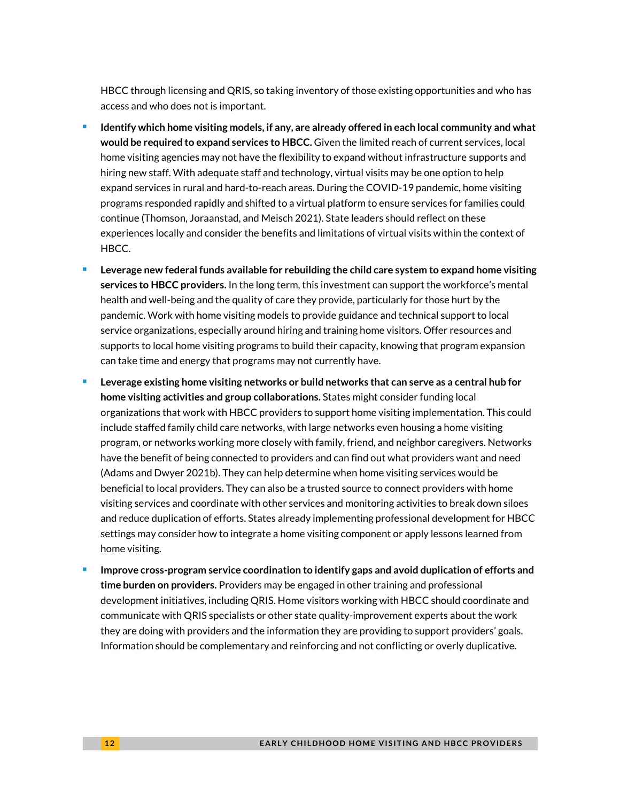HBCC through licensing and QRIS, so taking inventory of those existing opportunities and who has access and who does not is important.

- **Identify which home visiting models, if any, are already offered in each local community and what would be required to expand services to HBCC.** Given the limited reach of current services, local home visiting agencies may not have the flexibility to expand without infrastructure supports and hiring new staff. With adequate staff and technology, virtual visits may be one option to help expand services in rural and hard-to-reach areas. During the COVID-19 pandemic, home visiting programs responded rapidly and shifted to a virtual platform to ensure services for families could continue (Thomson, Joraanstad, and Meisch 2021). State leaders should reflect on these experiences locally and consider the benefits and limitations of virtual visits within the context of HBCC.
- **Leverage new federal funds available for rebuilding the child care system to expand home visiting services to HBCC providers.** In the long term, this investment can support the workforce's mental health and well-being and the quality of care they provide, particularly for those hurt by the pandemic. Work with home visiting models to provide guidance and technical support to local service organizations, especially around hiring and training home visitors. Offer resources and supports to local home visiting programs to build their capacity, knowing that program expansion can take time and energy that programs may not currently have.
- **Leverage existing home visiting networks or build networks that can serve as a central hub for home visiting activities and group collaborations.** States might consider funding local organizations that work with HBCC providers to support home visiting implementation. This could include staffed family child care networks, with large networks even housing a home visiting program, or networks working more closely with family, friend, and neighbor caregivers. Networks have the benefit of being connected to providers and can find out what providers want and need (Adams and Dwyer 2021b). They can help determine when home visiting services would be beneficial to local providers. They can also be a trusted source to connect providers with home visiting services and coordinate with other services and monitoring activities to break down siloes and reduce duplication of efforts. States already implementing professional development for HBCC settings may consider how to integrate a home visiting component or apply lessons learned from home visiting.
- **Improve cross-program service coordination to identify gaps and avoid duplication of efforts and time burden on providers.** Providers may be engaged in other training and professional development initiatives, including QRIS. Home visitors working with HBCC should coordinate and communicate with QRIS specialists or other state quality-improvement experts about the work they are doing with providers and the information they are providing to support providers' goals. Information should be complementary and reinforcing and not conflicting or overly duplicative.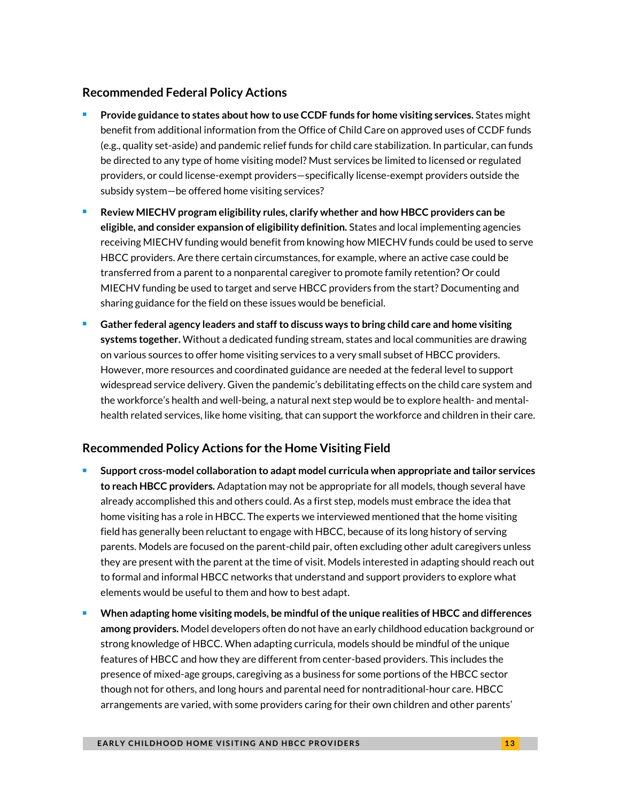### **Recommended Federal Policy Actions**

- **Provide guidance to states about how to use CCDF funds for home visiting services.** States might benefit from additional information from the Office of Child Care on approved uses of CCDF funds (e.g., quality set-aside) and pandemic relief funds for child care stabilization. In particular, can funds be directed to any type of home visiting model? Must services be limited to licensed or regulated providers, or could license-exempt providers—specifically license-exempt providers outside the subsidy system—be offered home visiting services?
- **Review MIECHV program eligibility rules, clarify whether and how HBCC providers can be eligible, and consider expansion of eligibility definition.** States and local implementing agencies receiving MIECHV funding would benefit from knowing how MIECHV funds could be used to serve HBCC providers. Are there certain circumstances, for example, where an active case could be transferred from a parent to a nonparental caregiver to promote family retention? Or could MIECHV funding be used to target and serve HBCC providers from the start? Documenting and sharing guidance for the field on these issues would be beneficial.
- **Gather federal agency leaders and staff to discuss ways to bring child care and home visiting systems together.** Without a dedicated funding stream, states and local communities are drawing on various sources to offer home visiting services to a very small subset of HBCC providers. However, more resources and coordinated guidance are needed at the federal level to support widespread service delivery. Given the pandemic's debilitating effects on the child care system and the workforce's health and well-being, a natural next step would be to explore health- and mentalhealth related services, like home visiting, that can support the workforce and children in their care.

### **Recommended Policy Actions for the Home Visiting Field**

- **Support cross-model collaboration to adapt model curricula when appropriate and tailor services to reach HBCC providers.** Adaptation may not be appropriate for all models, though several have already accomplished this and others could. As a first step, models must embrace the idea that home visiting has a role in HBCC. The experts we interviewed mentioned that the home visiting field has generally been reluctant to engage with HBCC, because of its long history of serving parents. Models are focused on the parent-child pair, often excluding other adult caregivers unless they are present with the parent at the time of visit. Models interested in adapting should reach out to formal and informal HBCC networks that understand and support providers to explore what elements would be useful to them and how to best adapt.
- **When adapting home visiting models, be mindful of the unique realities of HBCC and differences among providers.** Model developers often do not have an early childhood education background or strong knowledge of HBCC. When adapting curricula, models should be mindful of the unique features of HBCC and how they are different from center-based providers. This includes the presence of mixed-age groups, caregiving as a business for some portions of the HBCC sector though not for others, and long hours and parental need for nontraditional-hour care. HBCC arrangements are varied, with some providers caring for their own children and other parents'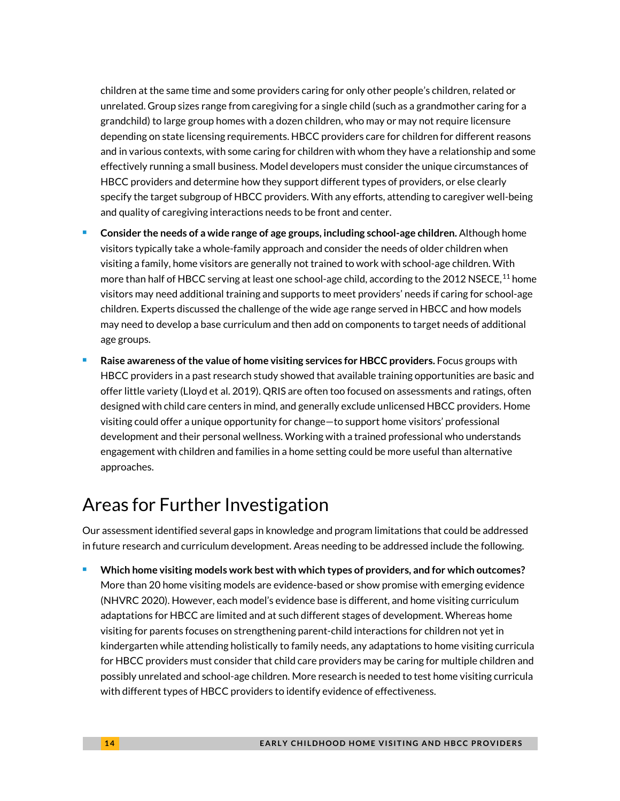children at the same time and some providers caring for only other people's children, related or unrelated. Group sizes range from caregiving for a single child (such as a grandmother caring for a grandchild) to large group homes with a dozen children, who may or may not require licensure depending on state licensing requirements. HBCC providers care for children for different reasons and in various contexts, with some caring for children with whom they have a relationship and some effectively running a small business. Model developers must consider the unique circumstances of HBCC providers and determine how they support different types of providers, or else clearly specify the target subgroup of HBCC providers. With any efforts, attending to caregiver well-being and quality of caregiving interactions needs to be front and center.

- **Consider the needs of a wide range of age groups, including school-age children.** Although home visitors typically take a whole-family approach and consider the needs of older children when visiting a family, home visitors are generally not trained to work with school-age children. With more than half of HBCC serving at least one school-age child, according to the 2012 NSECE,<sup>[11](#page-14-10)</sup> home visitors may need additional training and supports to meet providers' needs if caring for school-age children. Experts discussed the challenge of the wide age range served in HBCC and how models may need to develop a base curriculum and then add on components to target needs of additional age groups.
- **Raise awareness of the value of home visiting services for HBCC providers.** Focus groups with HBCC providers in a past research study showed that available training opportunities are basic and offer little variety (Lloyd et al. 2019). QRIS are often too focused on assessments and ratings, often designed with child care centers in mind, and generally exclude unlicensed HBCC providers. Home visiting could offer a unique opportunity for change—to support home visitors' professional development and their personal wellness. Working with a trained professional who understands engagement with children and families in a home setting could be more useful than alternative approaches.

### Areas for Further Investigation

Our assessment identified several gaps in knowledge and program limitations that could be addressed in future research and curriculum development. Areas needing to be addressed include the following.

 **Which home visiting models work best with which types of providers, and for which outcomes?** More than 20 home visiting models are evidence-based or show promise with emerging evidence (NHVRC 2020). However, each model's evidence base is different, and home visiting curriculum adaptations for HBCC are limited and at such different stages of development. Whereas home visiting for parents focuses on strengthening parent-child interactions for children not yet in kindergarten while attending holistically to family needs, any adaptations to home visiting curricula for HBCC providers must consider that child care providers may be caring for multiple children and possibly unrelated and school-age children. More research is needed to test home visiting curricula with different types of HBCC providers to identify evidence of effectiveness.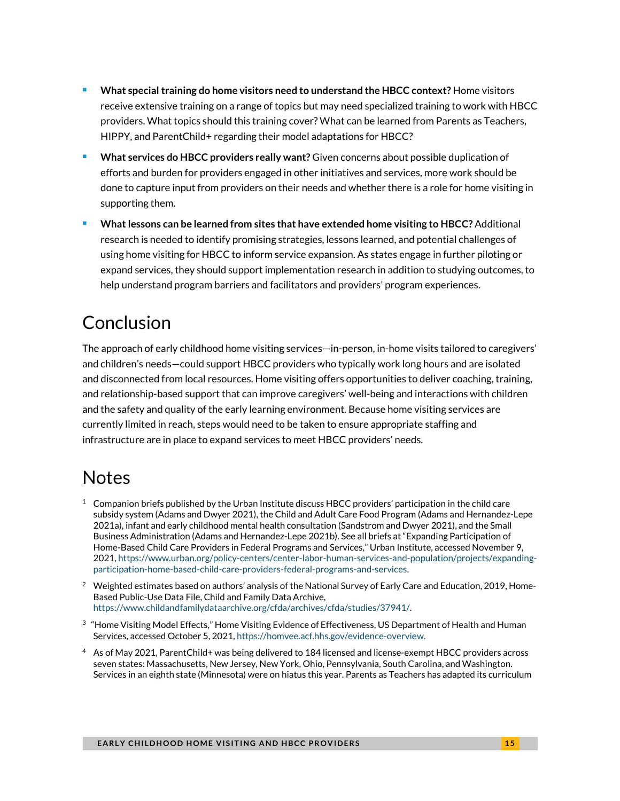- **What special training do home visitors need to understand the HBCC context?** Home visitors receive extensive training on a range of topics but may need specialized training to work with HBCC providers. What topics should this training cover? What can be learned from Parents as Teachers, HIPPY, and ParentChild+ regarding their model adaptations for HBCC?
- <span id="page-14-5"></span><span id="page-14-4"></span> **What services do HBCC providers really want?** Given concerns about possible duplication of efforts and burden for providers engaged in other initiatives and services, more work should be done to capture input from providers on their needs and whether there is a role for home visiting in supporting them.
- <span id="page-14-7"></span><span id="page-14-6"></span> **What lessons can be learned from sites that have extended home visiting to HBCC?** Additional research is needed to identify promising strategies, lessons learned, and potential challenges of using home visiting for HBCC to inform service expansion. As states engage in further piloting or expand services, they should support implementation research in addition to studying outcomes, to help understand program barriers and facilitators and providers' program experiences.

# <span id="page-14-9"></span><span id="page-14-8"></span>Conclusion

The approach of early childhood home visiting services—in-person, in-home visits tailored to caregivers' and children's needs—could support HBCC providers who typically work long hours and are isolated and disconnected from local resources. Home visiting offers opportunities to deliver coaching, training, and relationship-based support that can improve caregivers' well-being and interactions with children and the safety and quality of the early learning environment. Because home visiting services are currently limited in reach, steps would need to be taken to ensure appropriate staffing and infrastructure are in place to expand services to meet HBCC providers' needs.

### <span id="page-14-10"></span>**Notes**

- <span id="page-14-0"></span> $^1$  Companion briefs published by the Urban Institute discuss HBCC providers' participation in the child care subsidy system (Adams and Dwyer 2021), the Child and Adult Care Food Program (Adams and Hernandez-Lepe 2021a), infant and early childhood mental health consultation (Sandstrom and Dwyer 2021), and the Small Business Administration (Adams and Hernandez-Lepe 2021b). See all briefs at "Expanding Participation of Home-Based Child Care Providers in Federal Programs and Services," Urban Institute, accessed November 9, 2021, [https://www.urban.org/policy-centers/center-labor-human-services-and-population/projects/expanding](https://www.urban.org/policy-centers/center-labor-human-services-and-population/projects/expanding-participation-home-based-child-care-providers-federal-programs-and-services)[participation-home-based-child-care-providers-federal-programs-and-services.](https://www.urban.org/policy-centers/center-labor-human-services-and-population/projects/expanding-participation-home-based-child-care-providers-federal-programs-and-services)
- <span id="page-14-1"></span><sup>2</sup> Weighted estimates based on authors' analysis of the National Survey of Early Care and Education, 2019, Home-Based Public-Use Data File, Child and Family Data Archive, [https://www.childandfamilydataarchive.org/cfda/archives/cfda/studies/37941/.](https://www.childandfamilydataarchive.org/cfda/archives/cfda/studies/37941/)
- <span id="page-14-2"></span> $3$  "Home Visiting Model Effects," Home Visiting Evidence of Effectiveness, US Department of Health and Human Services, accessed October 5, 2021, [https://homvee.acf.hhs.gov/evidence-overview.](https://homvee.acf.hhs.gov/evidence-overview)
- <span id="page-14-3"></span>4 As of May 2021, ParentChild+ was being delivered to 184 licensed and license-exempt HBCC providers across seven states: Massachusetts, New Jersey, New York, Ohio, Pennsylvania, South Carolina, and Washington. Services in an eighth state (Minnesota) were on hiatus this year. Parents as Teachers has adapted its curriculum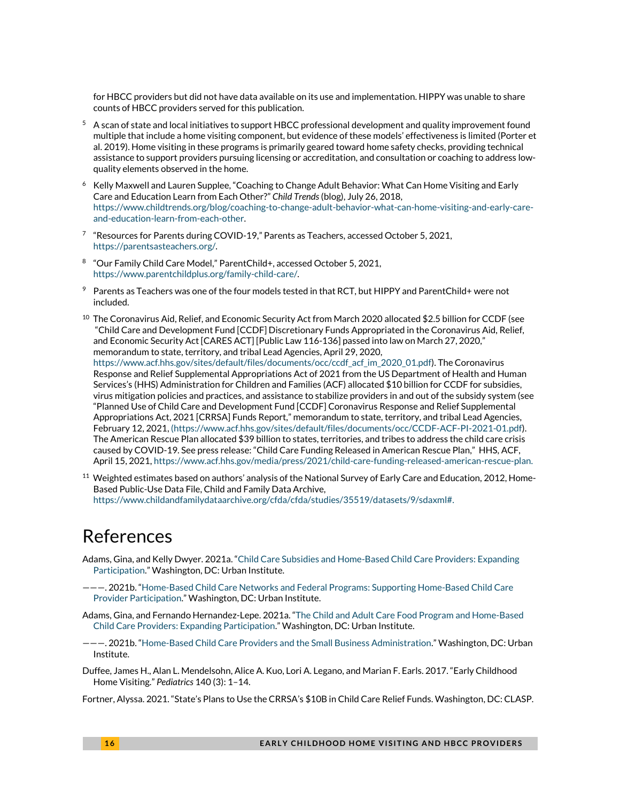for HBCC providers but did not have data available on its use and implementation. HIPPY was unable to share counts of HBCC providers served for this publication.

- <sup>5</sup> A scan of state and local initiatives to support HBCC professional development and quality improvement found multiple that include a home visiting component, but evidence of these models' effectiveness is limited (Porter et al. 2019). Home visiting in these programs is primarily geared toward home safety checks, providing technical assistance to support providers pursuing licensing or accreditation, and consultation or coaching to address lowquality elements observed in the home.
- $6$  Kelly Maxwell and Lauren Supplee, "Coaching to Change Adult Behavior: What Can Home Visiting and Early Care and Education Learn from Each Other?" *Child Trends* (blog), July 26, 2018, [https://www.childtrends.org/blog/coaching-to-change-adult-behavior-what-can-home-visiting-and-early-care](https://www.childtrends.org/blog/coaching-to-change-adult-behavior-what-can-home-visiting-and-early-care-and-education-learn-from-each-other)[and-education-learn-from-each-other.](https://www.childtrends.org/blog/coaching-to-change-adult-behavior-what-can-home-visiting-and-early-care-and-education-learn-from-each-other)
- <sup>7</sup> "Resources for Parents during COVID-19," Parents as Teachers, accessed October 5, 2021, [https://parentsasteachers.org/.](https://parentsasteachers.org/)
- <sup>8</sup> "Our Family Child Care Model," ParentChild+, accessed October 5, 2021, [https://www.parentchildplus.org/family-child-care/.](https://www.parentchildplus.org/family-child-care/)
- $9$  Parents as Teachers was one of the four models tested in that RCT, but HIPPY and ParentChild+ were not included.
- $^{10}$  The Coronavirus Aid, Relief, and Economic Security Act from March 2020 allocated \$2.5 billion for CCDF (see "Child Care and Development Fund [CCDF] Discretionary Funds Appropriated in the Coronavirus Aid, Relief, and Economic Security Act [CARES ACT] [Public Law 116-136] passed into law on March 27, 2020," memorandum to state, territory, and tribal Lead Agencies, April 29, 2020, https://www.acf.hhs.gov/sites/default/files/documents/occ/ccdf\_acf\_im\_2020\_01.pdf). The Coronavirus Response and Relief Supplemental Appropriations Act of 2021 from the US Department of Health and Human Services's (HHS) Administration for Children and Families (ACF) allocated \$10 billion for CCDF for subsidies, virus mitigation policies and practices, and assistance to stabilize providers in and out of the subsidy system (see "Planned Use of Child Care and Development Fund [CCDF] Coronavirus Response and Relief Supplemental Appropriations Act, 2021 [CRRSA] Funds Report," memorandum to state, territory, and tribal Lead Agencies, February 12, 2021, (https://www.acf.hhs.gov/sites/default/files/documents/occ/CCDF-ACF-PI-2021-01.pdf). The American Rescue Plan allocated \$39 billion to states, territories, and tribes to address the child care crisis caused by COVID-19. See press release: "Child Care Funding Released in American Rescue Plan," HHS, ACF, April 15, 2021[, https://www.acf.hhs.gov/media/press/2021/child-care-funding-released-american-rescue-plan.](https://www.acf.hhs.gov/media/press/2021/child-care-funding-released-american-rescue-plan)
- $11$  Weighted estimates based on authors' analysis of the National Survey of Early Care and Education, 2012, Home-Based Public-Use Data File, Child and Family Data Archive, [https://www.childandfamilydataarchive.org/cfda/cfda/studies/35519/datasets/9/sdaxml#.](https://www.childandfamilydataarchive.org/cfda/cfda/studies/35519/datasets/9/sdaxml)

### References

- Adams, Gina, and Kelly Dwyer. 2021a. ["Child Care Subsidies and Home-Based Child Care Providers: Expanding](https://www.urban.org/research/publication/child-care-subsidies-and-home-based-child-care-providers)  [Participation.](https://www.urban.org/research/publication/child-care-subsidies-and-home-based-child-care-providers)" Washington, DC: Urban Institute.
- ———. 2021b. ["Home-Based Child Care Networks and Federal Programs: Supporting Home-Based Child Care](https://www.urban.org/research/publication/home-based-child-care-networks-and-federal-programs-supporting-home-based-child-care-provider-participation)  Provider [Participation."](https://www.urban.org/research/publication/home-based-child-care-networks-and-federal-programs-supporting-home-based-child-care-provider-participation) Washington, DC: Urban Institute.
- Adams, Gina, and Fernando Hernandez-Lepe. 2021a. ["The Child and Adult Care Food Program and Home-Based](https://www.urban.org/research/publication/child-and-adult-care-food-program-and-home-based-child-care-providers)  [Child Care Providers: Expanding Participation."](https://www.urban.org/research/publication/child-and-adult-care-food-program-and-home-based-child-care-providers) Washington, DC: Urban Institute.
- ———. 2021b. ["Home-Based Child Care Providers and the Small Business Administration.](https://www.urban.org/research/publication/small-business-administration-and-home-based-child-care-providers-expanding-participation)" Washington, DC: Urban Institute.
- Duffee, James H., Alan L. Mendelsohn, Alice A. Kuo, Lori A. Legano, and Marian F. Earls. 2017. "Early Childhood Home Visiting." *Pediatrics* 140 (3): 1–14.

Fortner, Alyssa. 2021. "State's Plans to Use the CRRSA's \$10B in Child Care Relief Funds. Washington, DC: CLASP.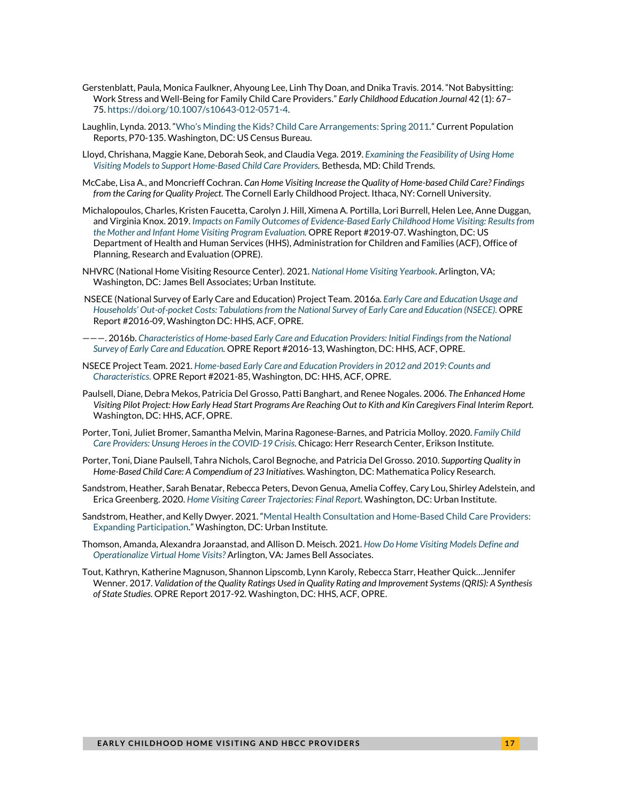- Gerstenblatt, Paula, Monica Faulkner, Ahyoung Lee, Linh Thy Doan, and Dnika Travis. 2014. "Not Babysitting: Work Stress and Well-Being for Family Child Care Providers." *Early Childhood Education Journal* 42 (1): 67– 75. [https://doi.org/10.1007/s10643-012-0571-4.](https://doi.org/10.1007/s10643-012-0571-4)
- Laughlin, Lynda. 2013. ["Who's Minding the Kids? Child Care Arrangements: Spring 2011."](https://www.census.gov/prod/2013pubs/p70-135.pdf) Current Population Reports, P70-135. Washington, DC: US Census Bureau.
- Lloyd, Chrishana, Maggie Kane, Deborah Seok, and Claudia Vega. 2019. *[Examining the Feasibility of Using Home](https://www.childtrends.org/wp-content/uploads/2019/09/FCD-Full-Report_ChildTrends_Sept2019.pdf)  [Visiting Models to Support Home-Based Child Care Providers.](https://www.childtrends.org/wp-content/uploads/2019/09/FCD-Full-Report_ChildTrends_Sept2019.pdf)* Bethesda, MD: Child Trends.
- McCabe, Lisa A., and Moncrieff Cochran. *Can Home Visiting Increase the Quality of Home-based Child Care? Findings from the Caring for Quality Project.* The Cornell Early Childhood Project. Ithaca, NY: Cornell University.
- Michalopoulos, Charles, Kristen Faucetta, Carolyn J. Hill, Ximena A. Portilla, Lori Burrell, Helen Lee, Anne Duggan, and Virginia Knox. 2019. *[Impacts on Family Outcomes of Evidence-Based Early Childhood Home Visiting: Results from](https://www.acf.hhs.gov/opre/report/impacts-family-outcomes-evidence-based-early-childhood-home-visiting-results-mother-and)  [the Mother and Infant Home Visiting Program Evaluation.](https://www.acf.hhs.gov/opre/report/impacts-family-outcomes-evidence-based-early-childhood-home-visiting-results-mother-and)* OPRE Report #2019-07. Washington, DC: US Department of Health and Human Services (HHS), Administration for Children and Families (ACF), Office of Planning, Research and Evaluation (OPRE).
- NHVRC (National Home Visiting Resource Center). 2021. *[National Home Visiting Yearbook](https://nhvrc.org/yearbook/2021-yearbook/who-is-being-served/)*. Arlington, VA; Washington, DC: James Bell Associates; Urban Institute.
- NSECE (National Survey of Early Care and Education) Project Team. 2016a. *[Early Care and Education Usage and](https://www.acf.hhs.gov/sites/default/files/documents/opre/nsece_usage_and_cost_tabulations_toopre_04302018_508.pdf)  [Households' Out-of-pocket Costs: Tabulations from the National Survey of Early Care and Education \(NSECE\).](https://www.acf.hhs.gov/sites/default/files/documents/opre/nsece_usage_and_cost_tabulations_toopre_04302018_508.pdf)* OPRE Report #2016-09, Washington DC: HHS, ACF, OPRE.
- ———. 2016b. *[Characteristics of Home-based Early Care and Education Providers: Initial Findings from the National](https://www.acf.hhs.gov/sites/default/files/documents/opre/characteristics_of_home_based_early_care_and_education_toopre_032416.pdf)  Survey of [Early Care and Education.](https://www.acf.hhs.gov/sites/default/files/documents/opre/characteristics_of_home_based_early_care_and_education_toopre_032416.pdf)* OPRE Report #2016-13, Washington, DC: HHS, ACF, OPRE.
- NSECE Project Team. 2021. *[Home-based Early Care and Education Providers in 2012 and 2019: Counts and](https://www.acf.hhs.gov/sites/default/files/documents/opre/NSECE-chartbook-homebased-may-2021.pdf)  [Characteristics.](https://www.acf.hhs.gov/sites/default/files/documents/opre/NSECE-chartbook-homebased-may-2021.pdf)* OPRE Report #2021-85, Washington, DC: HHS, ACF, OPRE.
- Paulsell, Diane, Debra Mekos, Patricia Del Grosso, Patti Banghart, and Renee Nogales. 2006. *The Enhanced Home Visiting Pilot Project: How Early Head Start Programs Are Reaching Out to Kith and Kin Caregivers Final Interim Report.* Washington, DC: HHS, ACF, OPRE.
- Porter, Toni, Juliet Bromer, Samantha Melvin, Marina Ragonese-Barnes, and Patricia Molloy. 2020. *[Family Child](https://www.erikson.edu/wp-content/uploads/2020/09/Family-Child-Care-Providers_Unsung-Heroes-in-the-COVID-19-Crisis.pdf)  [Care Providers: Unsung Heroes in the COVID-19 Crisis](https://www.erikson.edu/wp-content/uploads/2020/09/Family-Child-Care-Providers_Unsung-Heroes-in-the-COVID-19-Crisis.pdf)*. Chicago: Herr Research Center, Erikson Institute.
- Porter, Toni, Diane Paulsell, Tahra Nichols, Carol Begnoche, and Patricia Del Grosso. 2010. *Supporting Quality in Home-Based Child Care: A Compendium of 23 Initiatives*. Washington, DC: Mathematica Policy Research.
- Sandstrom, Heather, Sarah Benatar, Rebecca Peters, Devon Genua, Amelia Coffey, Cary Lou, Shirley Adelstein, and Erica Greenberg. 2020. *[Home Visiting Career Trajectories: Final Report.](https://www.urban.org/research/publication/home-visiting-career-trajectories)* Washington, DC: Urban Institute.
- Sandstrom, Heather, and Kelly Dwyer. 2021. ["Mental Health Consultation and Home-Based Child Care Providers:](https://www.urban.org/research/publication/mental-health-consultation-and-home-based-child-care-providers-expanding-participation)  [Expanding Participation.](https://www.urban.org/research/publication/mental-health-consultation-and-home-based-child-care-providers-expanding-participation)" Washington, DC: Urban Institute.
- Thomson, Amanda, Alexandra Joraanstad, and Allison D. Meisch. 2021. *[How Do Home Visiting Models Define and](https://nhvrc.org/product/models-define-virtual-home-visits/)  [Operationalize Virtual Home Visits?](https://nhvrc.org/product/models-define-virtual-home-visits/)* Arlington, VA: James Bell Associates.
- Tout, Kathryn, Katherine Magnuson, Shannon Lipscomb, Lynn Karoly, Rebecca Starr, Heather Quick…Jennifer Wenner. 2017. *Validation of the Quality Ratings Used in Quality Rating and Improvement Systems (QRIS): A Synthesis of State Studies*. OPRE Report 2017-92. Washington, DC: HHS, ACF, OPRE.